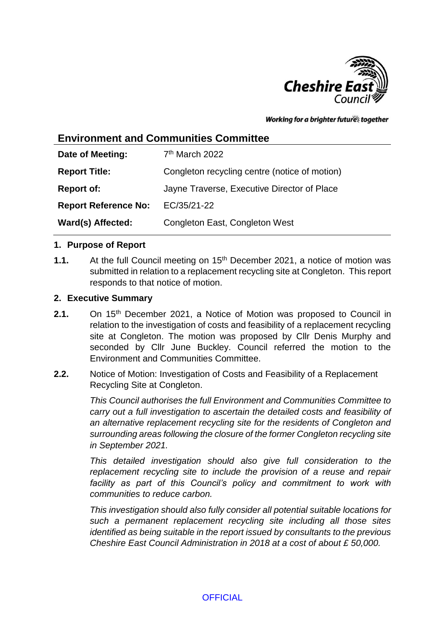

Working for a brighter futures together

# **Environment and Communities Committee**

| Date of Meeting:            | 7 <sup>th</sup> March 2022                    |
|-----------------------------|-----------------------------------------------|
| <b>Report Title:</b>        | Congleton recycling centre (notice of motion) |
| <b>Report of:</b>           | Jayne Traverse, Executive Director of Place   |
| <b>Report Reference No:</b> | EC/35/21-22                                   |
| Ward(s) Affected:           | Congleton East, Congleton West                |

### **1. Purpose of Report**

**1.1.** At the full Council meeting on 15th December 2021, a notice of motion was submitted in relation to a replacement recycling site at Congleton. This report responds to that notice of motion.

#### **2. Executive Summary**

- **2.1.** On 15<sup>th</sup> December 2021, a Notice of Motion was proposed to Council in relation to the investigation of costs and feasibility of a replacement recycling site at Congleton. The motion was proposed by Cllr Denis Murphy and seconded by Cllr June Buckley. Council referred the motion to the Environment and Communities Committee.
- **2.2.** Notice of Motion: Investigation of Costs and Feasibility of a Replacement Recycling Site at Congleton.

*This Council authorises the full Environment and Communities Committee to carry out a full investigation to ascertain the detailed costs and feasibility of an alternative replacement recycling site for the residents of Congleton and surrounding areas following the closure of the former Congleton recycling site in September 2021.* 

*This detailed investigation should also give full consideration to the replacement recycling site to include the provision of a reuse and repair facility as part of this Council's policy and commitment to work with communities to reduce carbon.* 

*This investigation should also fully consider all potential suitable locations for such a permanent replacement recycling site including all those sites identified as being suitable in the report issued by consultants to the previous Cheshire East Council Administration in 2018 at a cost of about £ 50,000.* 

### **OFFICIAL**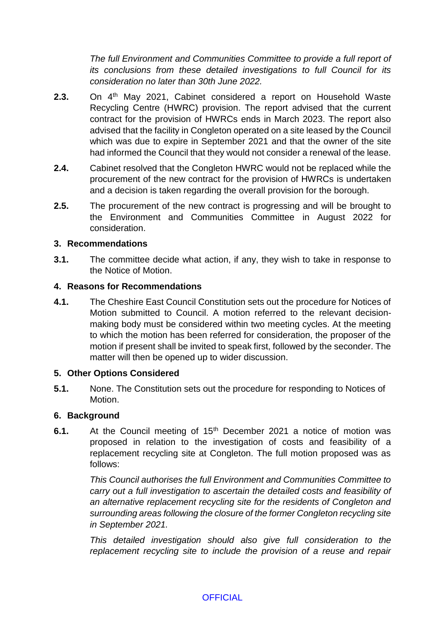*The full Environment and Communities Committee to provide a full report of its conclusions from these detailed investigations to full Council for its consideration no later than 30th June 2022.*

- **2.3.** On 4<sup>th</sup> May 2021, Cabinet considered a report on Household Waste Recycling Centre (HWRC) provision. The report advised that the current contract for the provision of HWRCs ends in March 2023. The report also advised that the facility in Congleton operated on a site leased by the Council which was due to expire in September 2021 and that the owner of the site had informed the Council that they would not consider a renewal of the lease.
- **2.4.** Cabinet resolved that the Congleton HWRC would not be replaced while the procurement of the new contract for the provision of HWRCs is undertaken and a decision is taken regarding the overall provision for the borough.
- **2.5.** The procurement of the new contract is progressing and will be brought to the Environment and Communities Committee in August 2022 for consideration.

## **3. Recommendations**

**3.1.** The committee decide what action, if any, they wish to take in response to the Notice of Motion.

## **4. Reasons for Recommendations**

**4.1.** The Cheshire East Council Constitution sets out the procedure for Notices of Motion submitted to Council. A motion referred to the relevant decisionmaking body must be considered within two meeting cycles. At the meeting to which the motion has been referred for consideration, the proposer of the motion if present shall be invited to speak first, followed by the seconder. The matter will then be opened up to wider discussion.

### **5. Other Options Considered**

**5.1.** None. The Constitution sets out the procedure for responding to Notices of Motion.

# **6. Background**

**6.1.** At the Council meeting of 15<sup>th</sup> December 2021 a notice of motion was proposed in relation to the investigation of costs and feasibility of a replacement recycling site at Congleton. The full motion proposed was as follows:

> *This Council authorises the full Environment and Communities Committee to carry out a full investigation to ascertain the detailed costs and feasibility of an alternative replacement recycling site for the residents of Congleton and surrounding areas following the closure of the former Congleton recycling site in September 2021.*

> *This detailed investigation should also give full consideration to the replacement recycling site to include the provision of a reuse and repair*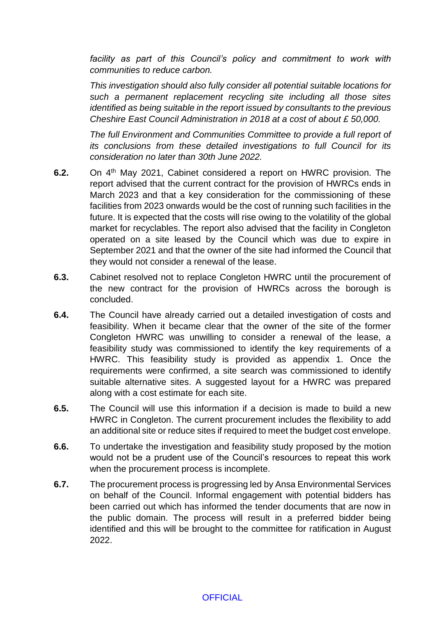*facility as part of this Council's policy and commitment to work with communities to reduce carbon.* 

*This investigation should also fully consider all potential suitable locations for such a permanent replacement recycling site including all those sites identified as being suitable in the report issued by consultants to the previous Cheshire East Council Administration in 2018 at a cost of about £ 50,000.* 

*The full Environment and Communities Committee to provide a full report of its conclusions from these detailed investigations to full Council for its consideration no later than 30th June 2022.*

- **6.2.** On 4<sup>th</sup> May 2021, Cabinet considered a report on HWRC provision. The report advised that the current contract for the provision of HWRCs ends in March 2023 and that a key consideration for the commissioning of these facilities from 2023 onwards would be the cost of running such facilities in the future. It is expected that the costs will rise owing to the volatility of the global market for recyclables. The report also advised that the facility in Congleton operated on a site leased by the Council which was due to expire in September 2021 and that the owner of the site had informed the Council that they would not consider a renewal of the lease.
- **6.3.** Cabinet resolved not to replace Congleton HWRC until the procurement of the new contract for the provision of HWRCs across the borough is concluded.
- **6.4.** The Council have already carried out a detailed investigation of costs and feasibility. When it became clear that the owner of the site of the former Congleton HWRC was unwilling to consider a renewal of the lease, a feasibility study was commissioned to identify the key requirements of a HWRC. This feasibility study is provided as appendix 1. Once the requirements were confirmed, a site search was commissioned to identify suitable alternative sites. A suggested layout for a HWRC was prepared along with a cost estimate for each site.
- **6.5.** The Council will use this information if a decision is made to build a new HWRC in Congleton. The current procurement includes the flexibility to add an additional site or reduce sites if required to meet the budget cost envelope.
- **6.6.** To undertake the investigation and feasibility study proposed by the motion would not be a prudent use of the Council's resources to repeat this work when the procurement process is incomplete.
- **6.7.** The procurement process is progressing led by Ansa Environmental Services on behalf of the Council. Informal engagement with potential bidders has been carried out which has informed the tender documents that are now in the public domain. The process will result in a preferred bidder being identified and this will be brought to the committee for ratification in August 2022.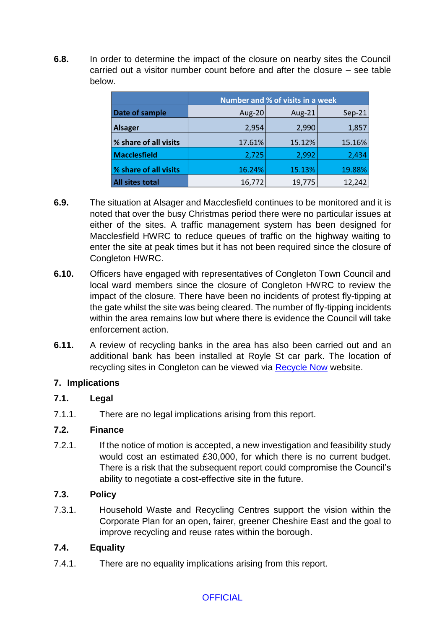**6.8.** In order to determine the impact of the closure on nearby sites the Council carried out a visitor number count before and after the closure – see table below.

|                        |        | <b>Number and % of visits in a week</b> |          |
|------------------------|--------|-----------------------------------------|----------|
| Date of sample         | Aug-20 | Aug-21                                  | $Sep-21$ |
| <b>Alsager</b>         | 2,954  | 2,990                                   | 1,857    |
| % share of all visits  | 17.61% | 15.12%                                  | 15.16%   |
| <b>Macclesfield</b>    | 2,725  | 2,992                                   | 2,434    |
| % share of all visits  | 16.24% | 15.13%                                  | 19.88%   |
| <b>All sites total</b> | 16,772 | 19,775                                  | 12,242   |

- **6.9.** The situation at Alsager and Macclesfield continues to be monitored and it is noted that over the busy Christmas period there were no particular issues at either of the sites. A traffic management system has been designed for Macclesfield HWRC to reduce queues of traffic on the highway waiting to enter the site at peak times but it has not been required since the closure of Congleton HWRC.
- **6.10.** Officers have engaged with representatives of Congleton Town Council and local ward members since the closure of Congleton HWRC to review the impact of the closure. There have been no incidents of protest fly-tipping at the gate whilst the site was being cleared. The number of fly-tipping incidents within the area remains low but where there is evidence the Council will take enforcement action.
- **6.11.** A review of recycling banks in the area has also been carried out and an additional bank has been installed at Royle St car park. The location of recycling sites in Congleton can be viewed via [Recycle Now](https://www.recyclenow.com/) website.

# **7. Implications**

# **7.1. Legal**

7.1.1. There are no legal implications arising from this report.

# **7.2. Finance**

7.2.1. If the notice of motion is accepted, a new investigation and feasibility study would cost an estimated £30,000, for which there is no current budget. There is a risk that the subsequent report could compromise the Council's ability to negotiate a cost-effective site in the future.

# **7.3. Policy**

7.3.1. Household Waste and Recycling Centres support the vision within the Corporate Plan for an open, fairer, greener Cheshire East and the goal to improve recycling and reuse rates within the borough.

# **7.4. Equality**

7.4.1. There are no equality implications arising from this report.

# **OFFICIAL**